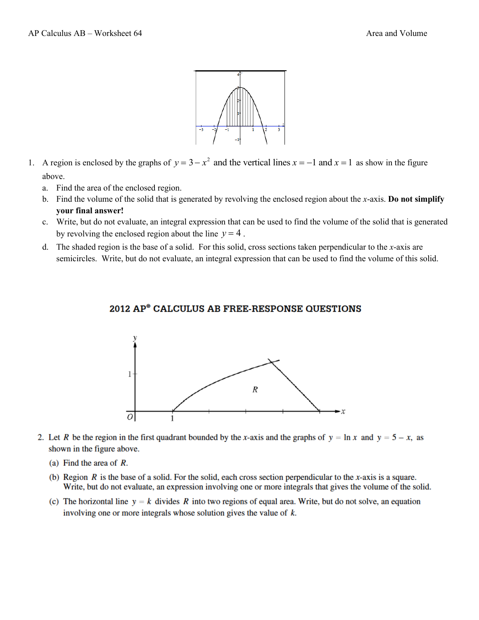

- 1. A region is enclosed by the graphs of  $y = 3 x^2$  and the vertical lines  $x = -1$  and  $x = 1$  as show in the figure above.
	- a. Find the area of the enclosed region.
	- b. Find the volume of the solid that is generated by revolving the enclosed region about the *x*-axis. **Do not simplify your final answer!**
	- c. Write, but do not evaluate, an integral expression that can be used to find the volume of the solid that is generated by revolving the enclosed region about the line  $y = 4$ .
	- d. The shaded region is the base of a solid. For this solid, cross sections taken perpendicular to the *x*-axis are semicircles. Write, but do not evaluate, an integral expression that can be used to find the volume of this solid.



## 2012 AP<sup>®</sup> CALCULUS AB FREE-RESPONSE QUESTIONS

- 2. Let R be the region in the first quadrant bounded by the x-axis and the graphs of  $y = \ln x$  and  $y = 5 x$ , as shown in the figure above.
	- (a) Find the area of *.*
	- (b) Region R is the base of a solid. For the solid, each cross section perpendicular to the x-axis is a square. Write, but do not evaluate, an expression involving one or more integrals that gives the volume of the solid.
	- (c) The horizontal line  $y = k$  divides R into two regions of equal area. Write, but do not solve, an equation involving one or more integrals whose solution gives the value of  $k$ .